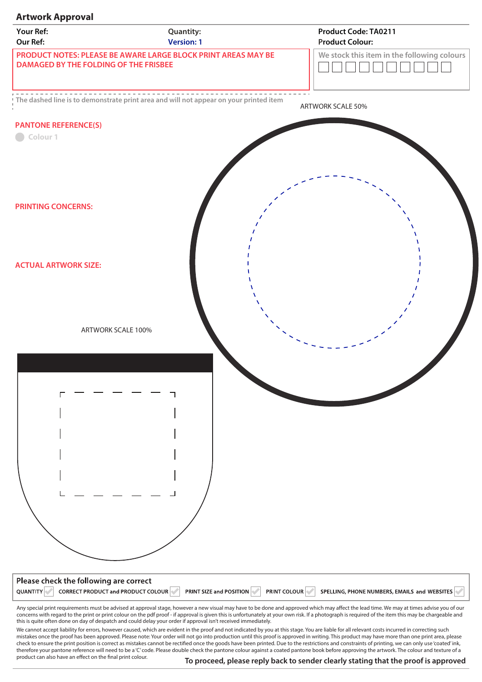## **Artwork Approval Your Ref: Product Code: TA0211 Quantity: Our Ref: Product Colour: Version: 1 PRODUCT NOTES: PLEASE BE AWARE LARGE BLOCK PRINT AREAS MAY BE We stock this item in the following colours DAMAGED BY THE FOLDING OF THE FRISBEE** TELET コ **The dashed line is to demonstrate print area and will not appear on your printed item** ARTWORK SCALE 50% **PANTONE REFERENCE(S)** Colour<sub>1</sub> **PRINTING CONCERNS: ACTUAL ARTWORK SIZE:**  ARTWORK SCALE 100%Please check the following are correct QUANTITY CORRECT PRODUCT and PRODUCT COLOUR PRINT SIZE and POSITION PRINT COLOUR PSPELLING, PHONE NUMBERS, EMAILS and WEBSITES Any special print requirements must be advised at approval stage, however a new visual may have to be done and approved which may affect the lead time. We may at times advise you of our concerns with regard to the print or print colour on the pdf proof - if approval is given this is unfortunately at your own risk. If a photograph is required of the item this may be chargeable and this is quite often done on day of despatch and could delay your order if approval isn't received immediately.

We cannot accept liability for errors, however caused, which are evident in the proof and not indicated by you at this stage. You are liable for all relevant costs incurred in correcting such mistakes once the proof has been approved. Please note: Your order will not go into production until this proof is approved in writing. This product may have more than one print area, please check to ensure the print position is correct as mistakes cannot be rectified once the goods have been printed. Due to the restrictions and constraints of printing, we can only use 'coated' ink, therefore your pantone reference will need to be a 'C' code. Please double check the pantone colour against a coated pantone book before approving the artwork. The colour and texture of a product can also have an effect on the final print colour.